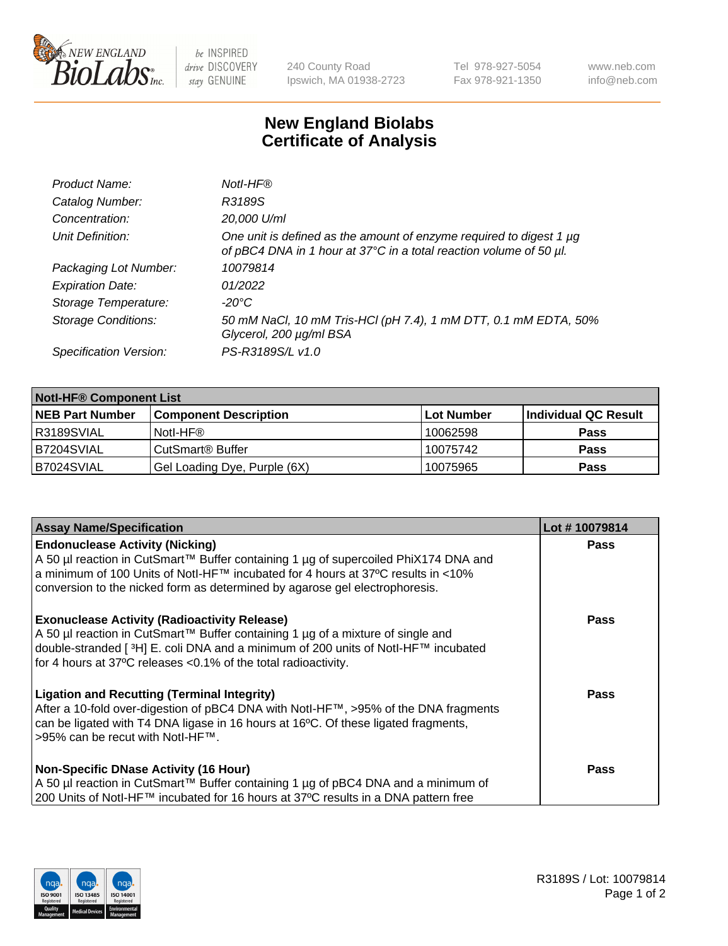

 $be$  INSPIRED drive DISCOVERY stay GENUINE

240 County Road Ipswich, MA 01938-2723 Tel 978-927-5054 Fax 978-921-1350 www.neb.com info@neb.com

## **New England Biolabs Certificate of Analysis**

| Product Name:              | Notl-HF®                                                                                                                                  |
|----------------------------|-------------------------------------------------------------------------------------------------------------------------------------------|
| Catalog Number:            | R3189S                                                                                                                                    |
| Concentration:             | 20,000 U/ml                                                                                                                               |
| Unit Definition:           | One unit is defined as the amount of enzyme required to digest 1 µg<br>of pBC4 DNA in 1 hour at 37°C in a total reaction volume of 50 µl. |
| Packaging Lot Number:      | 10079814                                                                                                                                  |
| <b>Expiration Date:</b>    | 01/2022                                                                                                                                   |
| Storage Temperature:       | $-20^{\circ}$ C                                                                                                                           |
| <b>Storage Conditions:</b> | 50 mM NaCl, 10 mM Tris-HCl (pH 7.4), 1 mM DTT, 0.1 mM EDTA, 50%<br>Glycerol, 200 µg/ml BSA                                                |
| Specification Version:     | PS-R3189S/L v1.0                                                                                                                          |

| <b>Notl-HF® Component List</b> |                              |            |                      |  |  |
|--------------------------------|------------------------------|------------|----------------------|--|--|
| <b>NEB Part Number</b>         | <b>Component Description</b> | Lot Number | Individual QC Result |  |  |
| R3189SVIAL                     | Notl-HF®                     | 10062598   | <b>Pass</b>          |  |  |
| B7204SVIAL                     | CutSmart <sup>®</sup> Buffer | 10075742   | <b>Pass</b>          |  |  |
| B7024SVIAL                     | Gel Loading Dye, Purple (6X) | 10075965   | <b>Pass</b>          |  |  |

| <b>Assay Name/Specification</b>                                                                                                                                                                                                                                                                              | Lot #10079814 |
|--------------------------------------------------------------------------------------------------------------------------------------------------------------------------------------------------------------------------------------------------------------------------------------------------------------|---------------|
| <b>Endonuclease Activity (Nicking)</b><br>  A 50 µl reaction in CutSmart™ Buffer containing 1 µg of supercoiled PhiX174 DNA and                                                                                                                                                                              | <b>Pass</b>   |
| a minimum of 100 Units of Notl-HF™ incubated for 4 hours at 37°C results in <10%<br>conversion to the nicked form as determined by agarose gel electrophoresis.                                                                                                                                              |               |
| <b>Exonuclease Activity (Radioactivity Release)</b><br>  A 50 µl reaction in CutSmart™ Buffer containing 1 µg of a mixture of single and<br>double-stranded [ <sup>3</sup> H] E. coli DNA and a minimum of 200 units of Notl-HF™ incubated<br>for 4 hours at 37°C releases <0.1% of the total radioactivity. | Pass          |
| <b>Ligation and Recutting (Terminal Integrity)</b><br>After a 10-fold over-digestion of pBC4 DNA with Notl-HF™, >95% of the DNA fragments<br>can be ligated with T4 DNA ligase in 16 hours at 16 <sup>o</sup> C. Of these ligated fragments,<br>1>95% can be recut with NotI-HF™.                            | Pass          |
| <b>Non-Specific DNase Activity (16 Hour)</b>                                                                                                                                                                                                                                                                 | <b>Pass</b>   |
| A 50 µl reaction in CutSmart™ Buffer containing 1 µg of pBC4 DNA and a minimum of<br>200 Units of Notl-HF™ incubated for 16 hours at 37°C results in a DNA pattern free                                                                                                                                      |               |